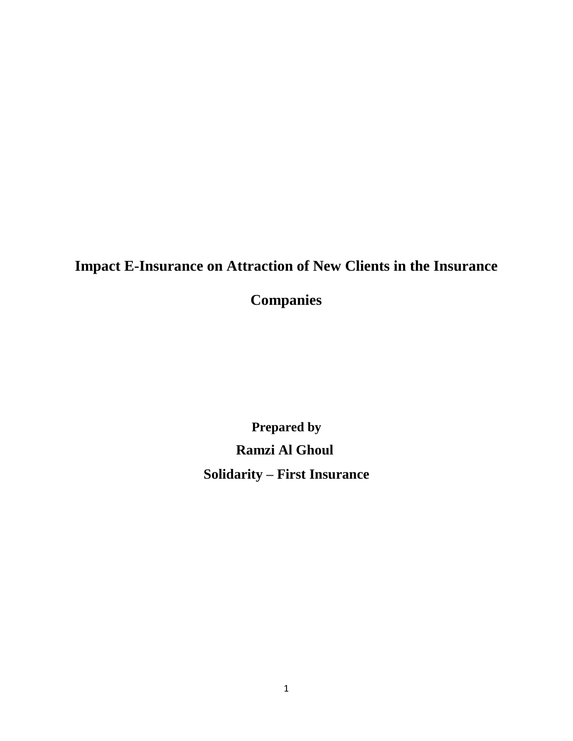# **Impact [E-Insurance](http://www.nathealth.net/NatHealthSmartBenefits/ElectronicInsuranceSmartCard/tabid/73/Default.aspx) on Attraction of New Clients in the Insurance**

**Companies**

**Prepared by Ramzi Al Ghoul Solidarity – First Insurance**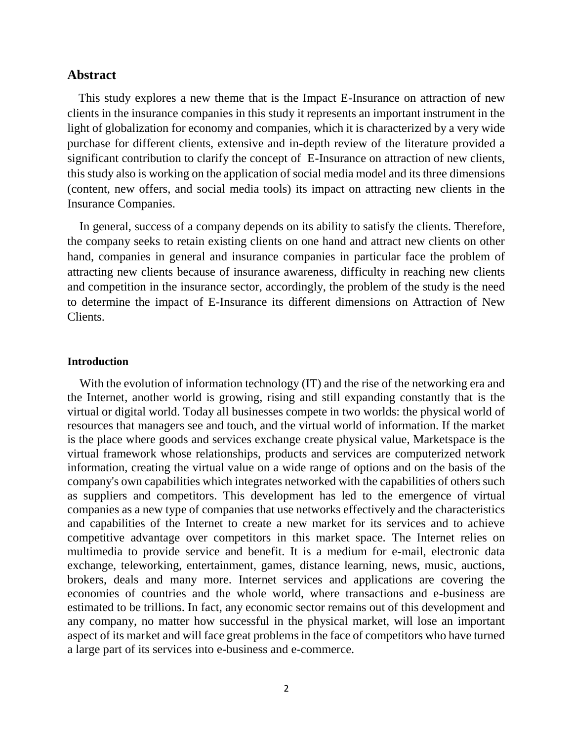#### **Abstract**

 This study explores a new theme that is the Impact E-Insurance on attraction of new clients in the insurance companies in this study it represents an important instrument in the light of globalization for economy and companies, which it is characterized by a very wide purchase for different clients, extensive and in-depth review of the literature provided a significant contribution to clarify the concept of E-Insurance on attraction of new clients, this study also is working on the application of social media model and its three dimensions (content, new offers, and social media tools) its impact on attracting new clients in the Insurance Companies.

 In general, success of a company depends on its ability to satisfy the clients. Therefore, the company seeks to retain existing clients on one hand and attract new clients on other hand, companies in general and insurance companies in particular face the problem of attracting new clients because of insurance awareness, difficulty in reaching new clients and competition in the insurance sector, accordingly, the problem of the study is the need to determine the impact of E-Insurance its different dimensions on Attraction of New Clients.

#### **Introduction**

With the evolution of information technology (IT) and the rise of the networking era and the Internet, another world is growing, rising and still expanding constantly that is the virtual or digital world. Today all businesses compete in two worlds: the physical world of resources that managers see and touch, and the virtual world of information. If the market is the place where goods and services exchange create physical value, Marketspace is the virtual framework whose relationships, products and services are computerized network information, creating the virtual value on a wide range of options and on the basis of the company's own capabilities which integrates networked with the capabilities of others such as suppliers and competitors. This development has led to the emergence of virtual companies as a new type of companies that use networks effectively and the characteristics and capabilities of the Internet to create a new market for its services and to achieve competitive advantage over competitors in this market space. The Internet relies on multimedia to provide service and benefit. It is a medium for e-mail, electronic data exchange, teleworking, entertainment, games, distance learning, news, music, auctions, brokers, deals and many more. Internet services and applications are covering the economies of countries and the whole world, where transactions and e-business are estimated to be trillions. In fact, any economic sector remains out of this development and any company, no matter how successful in the physical market, will lose an important aspect of its market and will face great problems in the face of competitors who have turned a large part of its services into e-business and e-commerce.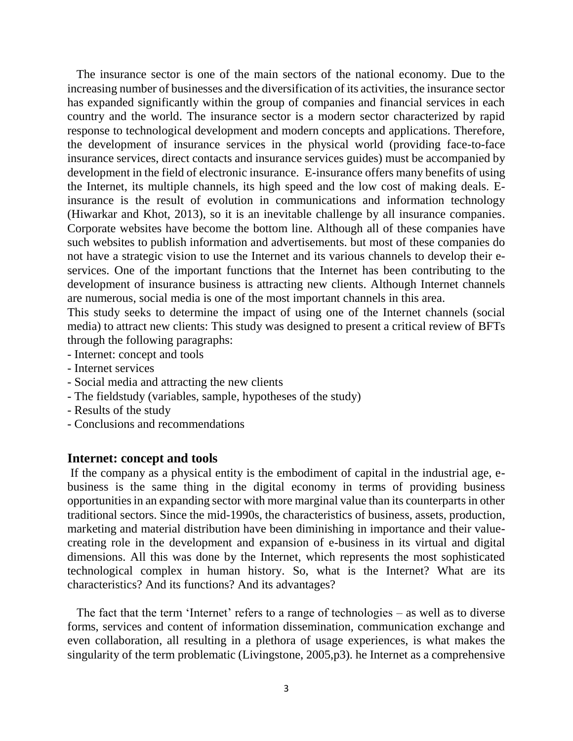The insurance sector is one of the main sectors of the national economy. Due to the increasing number of businesses and the diversification of its activities, the insurance sector has expanded significantly within the group of companies and financial services in each country and the world. The insurance sector is a modern sector characterized by rapid response to technological development and modern concepts and applications. Therefore, the development of insurance services in the physical world (providing face-to-face insurance services, direct contacts and insurance services guides) must be accompanied by development in the field of electronic insurance. E-insurance offers many benefits of using the Internet, its multiple channels, its high speed and the low cost of making deals. Einsurance is the result of evolution in communications and information technology (Hiwarkar and Khot, 2013), so it is an inevitable challenge by all insurance companies. Corporate websites have become the bottom line. Although all of these companies have such websites to publish information and advertisements. but most of these companies do not have a strategic vision to use the Internet and its various channels to develop their eservices. One of the important functions that the Internet has been contributing to the development of insurance business is attracting new clients. Although Internet channels are numerous, social media is one of the most important channels in this area.

This study seeks to determine the impact of using one of the Internet channels (social media) to attract new clients: This study was designed to present a critical review of BFTs through the following paragraphs:

- Internet: concept and tools
- Internet services
- Social media and attracting the new clients
- The fieldstudy (variables, sample, hypotheses of the study)
- Results of the study
- Conclusions and recommendations

#### **Internet: concept and tools**

If the company as a physical entity is the embodiment of capital in the industrial age, ebusiness is the same thing in the digital economy in terms of providing business opportunities in an expanding sector with more marginal value than its counterparts in other traditional sectors. Since the mid-1990s, the characteristics of business, assets, production, marketing and material distribution have been diminishing in importance and their valuecreating role in the development and expansion of e-business in its virtual and digital dimensions. All this was done by the Internet, which represents the most sophisticated technological complex in human history. So, what is the Internet? What are its characteristics? And its functions? And its advantages?

 The fact that the term 'Internet' refers to a range of technologies – as well as to diverse forms, services and content of information dissemination, communication exchange and even collaboration, all resulting in a plethora of usage experiences, is what makes the singularity of the term problematic (Livingstone, 2005,p3). he Internet as a comprehensive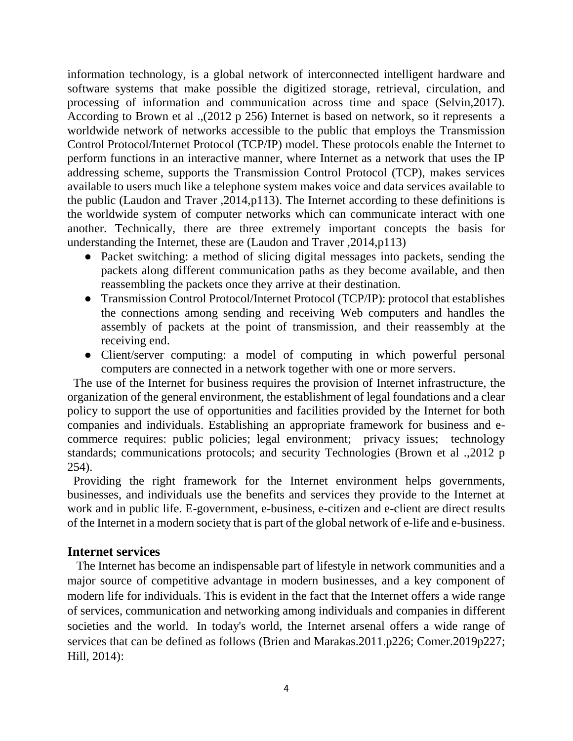information technology, is a global network of interconnected intelligent hardware and software systems that make possible the digitized storage, retrieval, circulation, and processing of information and communication across time and space (Selvin,2017). According to Brown et al .,(2012 p 256) Internet is based on network, so it represents a worldwide network of networks accessible to the public that employs the Transmission Control Protocol/Internet Protocol (TCP/IP) model. These protocols enable the Internet to perform functions in an interactive manner, where Internet as a network that uses the IP addressing scheme, supports the Transmission Control Protocol (TCP), makes services available to users much like a telephone system makes voice and data services available to the public (Laudon and Traver ,2014,p113). The Internet according to these definitions is the worldwide system of computer networks which can communicate interact with one another. Technically, there are three extremely important concepts the basis for understanding the Internet, these are (Laudon and Traver ,2014,p113)

- Packet switching: a method of slicing digital messages into packets, sending the packets along different communication paths as they become available, and then reassembling the packets once they arrive at their destination.
- Transmission Control Protocol/Internet Protocol (TCP/IP): protocol that establishes the connections among sending and receiving Web computers and handles the assembly of packets at the point of transmission, and their reassembly at the receiving end.
- Client/server computing: a model of computing in which powerful personal computers are connected in a network together with one or more servers.

 The use of the Internet for business requires the provision of Internet infrastructure, the organization of the general environment, the establishment of legal foundations and a clear policy to support the use of opportunities and facilities provided by the Internet for both companies and individuals. Establishing an appropriate framework for business and ecommerce requires: public policies; legal environment; privacy issues; technology standards; communications protocols; and security Technologies (Brown et al .,2012 p 254).

 Providing the right framework for the Internet environment helps governments, businesses, and individuals use the benefits and services they provide to the Internet at work and in public life. E-government, e-business, e-citizen and e-client are direct results of the Internet in a modern society that is part of the global network of e-life and e-business.

# **Internet services**

 The Internet has become an indispensable part of lifestyle in network communities and a major source of competitive advantage in modern businesses, and a key component of modern life for individuals. This is evident in the fact that the Internet offers a wide range of services, communication and networking among individuals and companies in different societies and the world. In today's world, the Internet arsenal offers a wide range of services that can be defined as follows (Brien and Marakas.2011.p226; Comer.2019p227; Hill, 2014):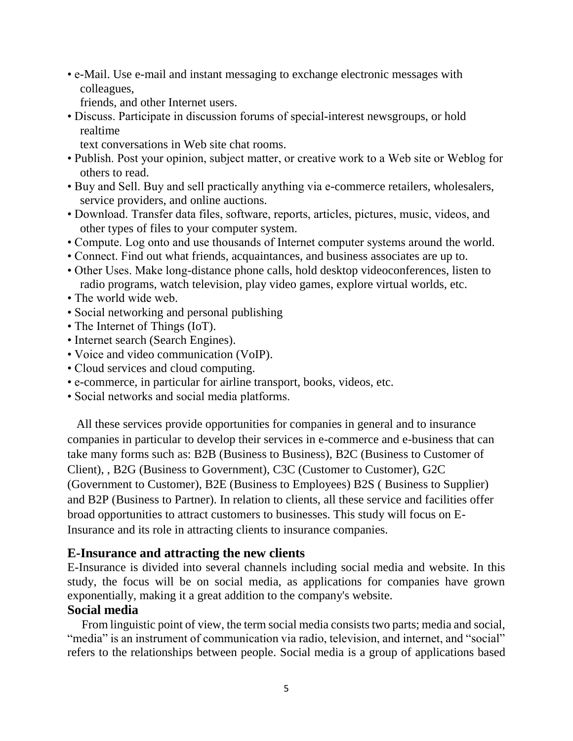• e-Mail. Use e-mail and instant messaging to exchange electronic messages with colleagues,

friends, and other Internet users.

- Discuss. Participate in discussion forums of special-interest newsgroups, or hold realtime
	- text conversations in Web site chat rooms.
- Publish. Post your opinion, subject matter, or creative work to a Web site or Weblog for others to read.
- Buy and Sell. Buy and sell practically anything via e-commerce retailers, wholesalers, service providers, and online auctions.
- Download. Transfer data files, software, reports, articles, pictures, music, videos, and other types of files to your computer system.
- Compute. Log onto and use thousands of Internet computer systems around the world.
- Connect. Find out what friends, acquaintances, and business associates are up to.
- Other Uses. Make long-distance phone calls, hold desktop videoconferences, listen to radio programs, watch television, play video games, explore virtual worlds, etc.
- The world wide web.
- Social networking and personal publishing
- The Internet of Things (IoT).
- Internet search (Search Engines).
- Voice and video communication (VoIP).
- Cloud services and cloud computing.
- e-commerce, in particular for airline transport, books, videos, etc.
- Social networks and social media platforms.

 All these services provide opportunities for companies in general and to insurance companies in particular to develop their services in e-commerce and e-business that can take many forms such as: B2B (Business to Business), B2C (Business to Customer of Client), , B2G (Business to Government), C3C (Customer to Customer), G2C (Government to Customer), B2E (Business to Employees) B2S ( Business to Supplier) and B2P (Business to Partner). In relation to clients, all these service and facilities offer broad opportunities to attract customers to businesses. This study will focus on E-Insurance and its role in attracting clients to insurance companies.

#### **E-Insurance and attracting the new clients**

E-Insurance is divided into several channels including social media and website. In this study, the focus will be on social media, as applications for companies have grown exponentially, making it a great addition to the company's website.

# **Social media**

 From linguistic point of view, the term social media consists two parts; media and social, "media" is an instrument of communication via radio, television, and internet, and "social" refers to the relationships between people. Social media is a group of applications based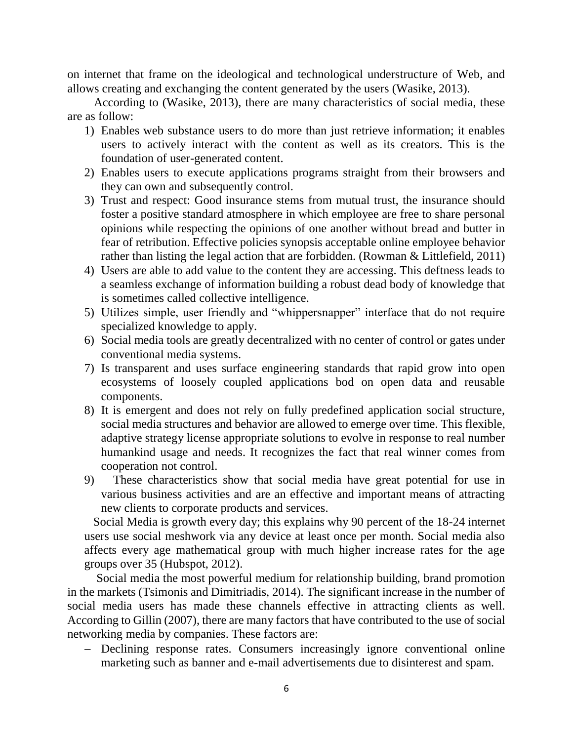on internet that frame on the ideological and technological understructure of Web, and allows creating and exchanging the content generated by the users (Wasike, 2013).

According to (Wasike, 2013), there are many characteristics of social media, these are as follow:

- 1) Enables web substance users to do more than just retrieve information; it enables users to actively interact with the content as well as its creators. This is the foundation of user-generated content.
- 2) Enables users to execute applications programs straight from their browsers and they can own and subsequently control.
- 3) Trust and respect: Good insurance stems from mutual trust, the insurance should foster a positive standard atmosphere in which employee are free to share personal opinions while respecting the opinions of one another without bread and butter in fear of retribution. Effective policies synopsis acceptable online employee behavior rather than listing the legal action that are forbidden. (Rowman & Littlefield, 2011)
- 4) Users are able to add value to the content they are accessing. This deftness leads to a seamless exchange of information building a robust dead body of knowledge that is sometimes called collective intelligence.
- 5) Utilizes simple, user friendly and "whippersnapper" interface that do not require specialized knowledge to apply.
- 6) Social media tools are greatly decentralized with no center of control or gates under conventional media systems.
- 7) Is transparent and uses surface engineering standards that rapid grow into open ecosystems of loosely coupled applications bod on open data and reusable components.
- 8) It is emergent and does not rely on fully predefined application social structure, social media structures and behavior are allowed to emerge over time. This flexible, adaptive strategy license appropriate solutions to evolve in response to real number humankind usage and needs. It recognizes the fact that real winner comes from cooperation not control.
- 9) These characteristics show that social media have great potential for use in various business activities and are an effective and important means of attracting new clients to corporate products and services.

 Social Media is growth every day; this explains why 90 percent of the 18-24 internet users use social meshwork via any device at least once per month. Social media also affects every age mathematical group with much higher increase rates for the age groups over 35 (Hubspot, 2012).

 Social media the most powerful medium for relationship building, brand promotion in the markets (Tsimonis and Dimitriadis, 2014). The significant increase in the number of social media users has made these channels effective in attracting clients as well. According to Gillin (2007), there are many factors that have contributed to the use of social networking media by companies. These factors are:

- Declining response rates. Consumers increasingly ignore conventional online marketing such as banner and e-mail advertisements due to disinterest and spam.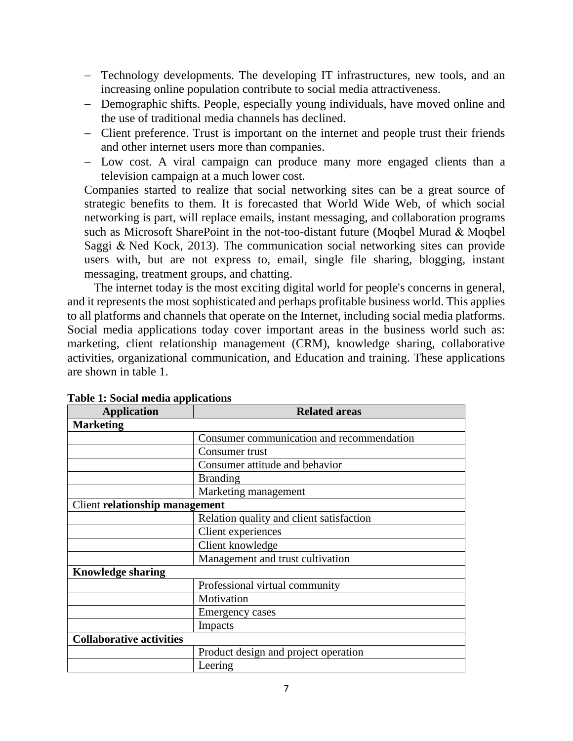- Technology developments. The developing IT infrastructures, new tools, and an increasing online population contribute to social media attractiveness.
- Demographic shifts. People, especially young individuals, have moved online and the use of traditional media channels has declined.
- Client preference. Trust is important on the internet and people trust their friends and other internet users more than companies.
- Low cost. A viral campaign can produce many more engaged clients than a television campaign at a much lower cost.

Companies started to realize that social networking sites can be a great source of strategic benefits to them. It is forecasted that World Wide Web, of which social networking is part, will replace emails, instant messaging, and collaboration programs such as Microsoft SharePoint in the not-too-distant future [\(Moqbel Murad &](https://www.emeraldinsight.com/author/Moqbel%2C+Murad) Moqbel [Saggi &](https://www.emeraldinsight.com/author/Nevo%2C+Saggi) [Ned Kock,](https://www.emeraldinsight.com/author/Kock%2C+Ned) 2013). The communication social networking sites can provide users with, but are not express to, email, single file sharing, blogging, instant messaging, treatment groups, and chatting.

The internet today is the most exciting digital world for people's concerns in general, and it represents the most sophisticated and perhaps profitable business world. This applies to all platforms and channels that operate on the Internet, including social media platforms. Social media applications today cover important areas in the business world such as: marketing, client relationship management (CRM), knowledge sharing, collaborative activities, organizational communication, and Education and training. These applications are shown in table 1.

| <b>Application</b>                    | <b>Related areas</b>                      |  |  |  |  |
|---------------------------------------|-------------------------------------------|--|--|--|--|
| <b>Marketing</b>                      |                                           |  |  |  |  |
|                                       | Consumer communication and recommendation |  |  |  |  |
|                                       | Consumer trust                            |  |  |  |  |
|                                       | Consumer attitude and behavior            |  |  |  |  |
|                                       | <b>Branding</b>                           |  |  |  |  |
|                                       | Marketing management                      |  |  |  |  |
| <b>Client relationship management</b> |                                           |  |  |  |  |
|                                       | Relation quality and client satisfaction  |  |  |  |  |
|                                       | Client experiences                        |  |  |  |  |
|                                       | Client knowledge                          |  |  |  |  |
|                                       | Management and trust cultivation          |  |  |  |  |
| <b>Knowledge sharing</b>              |                                           |  |  |  |  |
|                                       | Professional virtual community            |  |  |  |  |
|                                       | Motivation                                |  |  |  |  |
|                                       | <b>Emergency cases</b>                    |  |  |  |  |
|                                       | Impacts                                   |  |  |  |  |
| <b>Collaborative activities</b>       |                                           |  |  |  |  |
|                                       | Product design and project operation      |  |  |  |  |
|                                       | Leering                                   |  |  |  |  |

# **Table 1: Social media applications**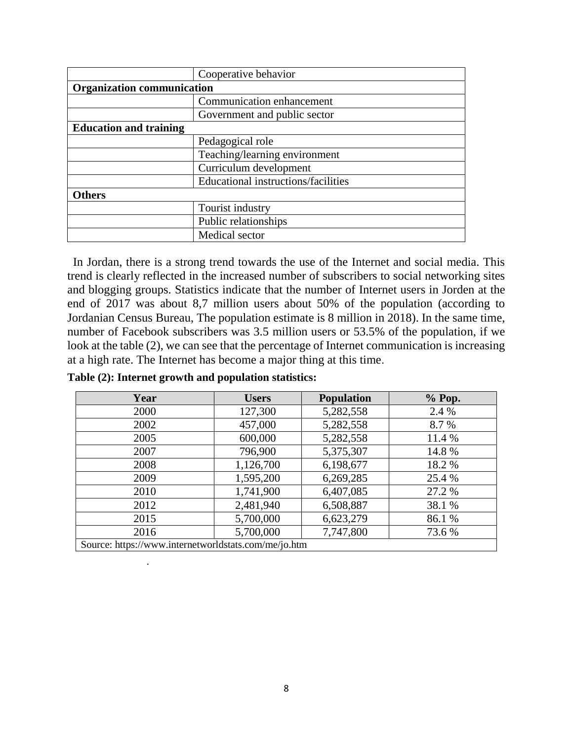|                                   | Cooperative behavior                       |
|-----------------------------------|--------------------------------------------|
| <b>Organization communication</b> |                                            |
|                                   | Communication enhancement                  |
|                                   | Government and public sector               |
| <b>Education and training</b>     |                                            |
|                                   | Pedagogical role                           |
|                                   | Teaching/learning environment              |
|                                   | Curriculum development                     |
|                                   | <b>Educational instructions/facilities</b> |
| <b>Others</b>                     |                                            |
|                                   | Tourist industry                           |
|                                   | Public relationships                       |
|                                   | Medical sector                             |

In Jordan, there is a strong trend towards the use of the Internet and social media. This trend is clearly reflected in the increased number of subscribers to social networking sites and blogging groups. Statistics indicate that the number of Internet users in Jorden at the end of 2017 was about 8,7 million users about 50% of the population (according to Jordanian [Census Bureau,](http://www.census.gov/) The population estimate is 8 million in 2018). In the same time, number of Facebook subscribers was 3.5 million users or 53.5% of the population, if we look at the table (2), we can see that the percentage of Internet communication is increasing at a high rate. The Internet has become a major thing at this time.

| Year                                                 | <b>Users</b> | <b>Population</b> | % Pop. |
|------------------------------------------------------|--------------|-------------------|--------|
| 2000                                                 | 127,300      | 5,282,558         | 2.4 %  |
| 2002                                                 | 457,000      | 5,282,558         | 8.7 %  |
| 2005                                                 | 600,000      | 5,282,558         | 11.4 % |
| 2007                                                 | 796,900      | 5,375,307         | 14.8 % |
| 2008                                                 | 1,126,700    | 6,198,677         | 18.2%  |
| 2009                                                 | 1,595,200    | 6,269,285         | 25.4 % |
| 2010                                                 | 1,741,900    | 6,407,085         | 27.2 % |
| 2012                                                 | 2,481,940    | 6,508,887         | 38.1 % |
| 2015                                                 | 5,700,000    | 6,623,279         | 86.1%  |
| 2016                                                 | 5,700,000    | 7,747,800         | 73.6 % |
| Source: https://www.internetworldstats.com/me/jo.htm |              |                   |        |

**Table (2): Internet growth and population statistics:**

.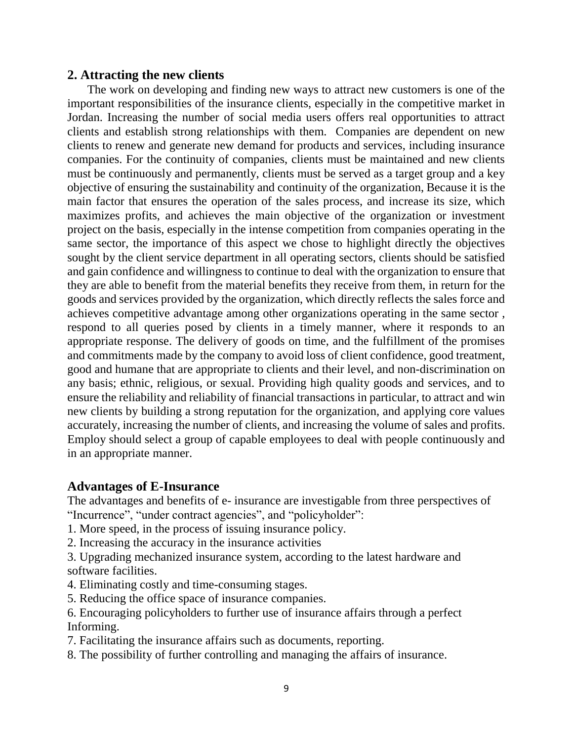### **2. Attracting the new clients**

The work on developing and finding new ways to attract new customers is one of the important responsibilities of the insurance clients, especially in the competitive market in Jordan. Increasing the number of social media users offers real opportunities to attract clients and establish strong relationships with them. Companies are dependent on new clients to renew and generate new demand for products and services, including insurance companies. For the continuity of companies, clients must be maintained and new clients must be continuously and permanently, clients must be served as a target group and a key objective of ensuring the sustainability and continuity of the organization, Because it is the main factor that ensures the operation of the sales process, and increase its size, which maximizes profits, and achieves the main objective of the organization or investment project on the basis, especially in the intense competition from companies operating in the same sector, the importance of this aspect we chose to highlight directly the objectives sought by the client service department in all operating sectors, clients should be satisfied and gain confidence and willingness to continue to deal with the organization to ensure that they are able to benefit from the material benefits they receive from them, in return for the goods and services provided by the organization, which directly reflects the sales force and achieves competitive advantage among other organizations operating in the same sector , respond to all queries posed by clients in a timely manner, where it responds to an appropriate response. The delivery of goods on time, and the fulfillment of the promises and commitments made by the company to avoid loss of client confidence, good treatment, good and humane that are appropriate to clients and their level, and non-discrimination on any basis; ethnic, religious, or sexual. Providing high quality goods and services, and to ensure the reliability and reliability of financial transactions in particular, to attract and win new clients by building a strong reputation for the organization, and applying core values accurately, increasing the number of clients, and increasing the volume of sales and profits. Employ should select a group of capable employees to deal with people continuously and in an appropriate manner.

# **Advantages of E-Insurance**

The advantages and benefits of e- insurance are investigable from three perspectives of "Incurrence", "under contract agencies", and "policyholder":

- 1. More speed, in the process of issuing insurance policy.
- 2. Increasing the accuracy in the insurance activities
- 3. Upgrading mechanized insurance system, according to the latest hardware and software facilities.
- 4. Eliminating costly and time-consuming stages.
- 5. Reducing the office space of insurance companies.
- 6. Encouraging policyholders to further use of insurance affairs through a perfect Informing.
- 7. Facilitating the insurance affairs such as documents, reporting.
- 8. The possibility of further controlling and managing the affairs of insurance.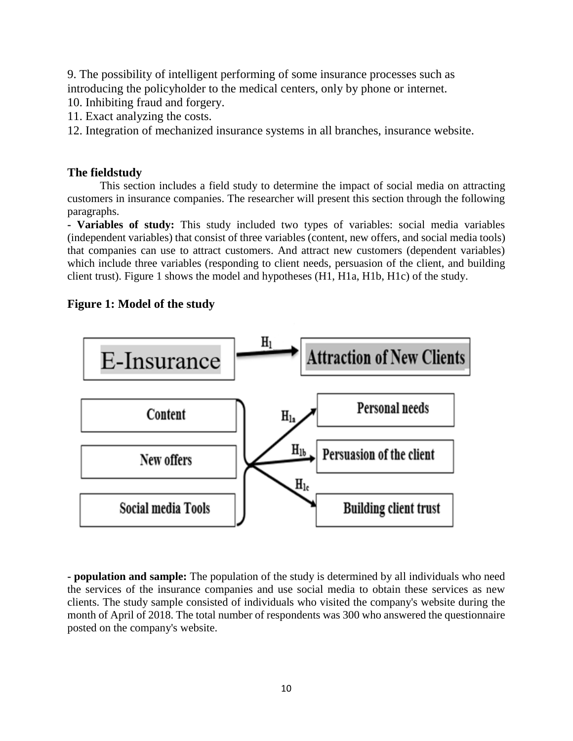9. The possibility of intelligent performing of some insurance processes such as introducing the policyholder to the medical centers, only by phone or internet.

- 10. Inhibiting fraud and forgery.
- 11. Exact analyzing the costs.
- 12. Integration of mechanized insurance systems in all branches, insurance website.

# **The fieldstudy**

This section includes a field study to determine the impact of social media on attracting customers in insurance companies. The researcher will present this section through the following paragraphs.

**- Variables of study:** This study included two types of variables: social media variables (independent variables) that consist of three variables (content, new offers, and social media tools) that companies can use to attract customers. And attract new customers (dependent variables) which include three variables (responding to client needs, persuasion of the client, and building client trust). Figure 1 shows the model and hypotheses (H1, H1a, H1b, H1c) of the study.

# **Figure 1: Model of the study**



**- population and sample:** The population of the study is determined by all individuals who need the services of the insurance companies and use social media to obtain these services as new clients. The study sample consisted of individuals who visited the company's website during the month of April of 2018. The total number of respondents was 300 who answered the questionnaire posted on the company's website.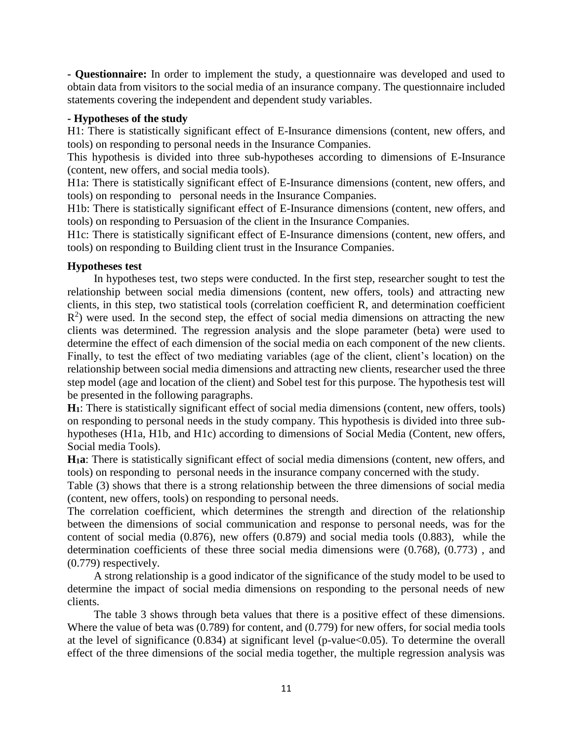**- Questionnaire:** In order to implement the study, a questionnaire was developed and used to obtain data from visitors to the social media of an insurance company. The questionnaire included statements covering the independent and dependent study variables.

#### **- Hypotheses of the study**

H1: There is statistically significant effect of E-Insurance dimensions (content, new offers, and tools) on responding to personal needs in the Insurance Companies.

This hypothesis is divided into three sub-hypotheses according to dimensions of E-Insurance (content, new offers, and social media tools).

H1a: There is statistically significant effect of E-Insurance dimensions (content, new offers, and tools) on responding to personal needs in the Insurance Companies.

H1b: There is statistically significant effect of E-Insurance dimensions (content, new offers, and tools) on responding to Persuasion of the client in the Insurance Companies.

H1c: There is statistically significant effect of E-Insurance dimensions (content, new offers, and tools) on responding to Building client trust in the Insurance Companies.

#### **Hypotheses test**

In hypotheses test, two steps were conducted. In the first step, researcher sought to test the relationship between social media dimensions (content, new offers, tools) and attracting new clients, in this step, two statistical tools (correlation coefficient R, and determination coefficient  $R<sup>2</sup>$ ) were used. In the second step, the effect of social media dimensions on attracting the new clients was determined. The regression analysis and the slope parameter (beta) were used to determine the effect of each dimension of the social media on each component of the new clients. Finally, to test the effect of two mediating variables (age of the client, client's location) on the relationship between social media dimensions and attracting new clients, researcher used the three step model (age and location of the client) and Sobel test for this purpose. The hypothesis test will be presented in the following paragraphs.

**H1**: There is statistically significant effect of social media dimensions (content, new offers, tools) on responding to personal needs in the study company. This hypothesis is divided into three subhypotheses (H1a, H1b, and H1c) according to dimensions of Social Media (Content, new offers, Social media Tools).

**H1a**: There is statistically significant effect of social media dimensions (content, new offers, and tools) on responding to personal needs in the insurance company concerned with the study.

Table (3) shows that there is a strong relationship between the three dimensions of social media (content, new offers, tools) on responding to personal needs.

The correlation coefficient, which determines the strength and direction of the relationship between the dimensions of social communication and response to personal needs, was for the content of social media (0.876), new offers (0.879) and social media tools (0.883), while the determination coefficients of these three social media dimensions were (0.768), (0.773) , and (0.779) respectively.

A strong relationship is a good indicator of the significance of the study model to be used to determine the impact of social media dimensions on responding to the personal needs of new clients.

The table 3 shows through beta values that there is a positive effect of these dimensions. Where the value of beta was (0.789) for content, and (0.779) for new offers, for social media tools at the level of significance  $(0.834)$  at significant level (p-value $<0.05$ ). To determine the overall effect of the three dimensions of the social media together, the multiple regression analysis was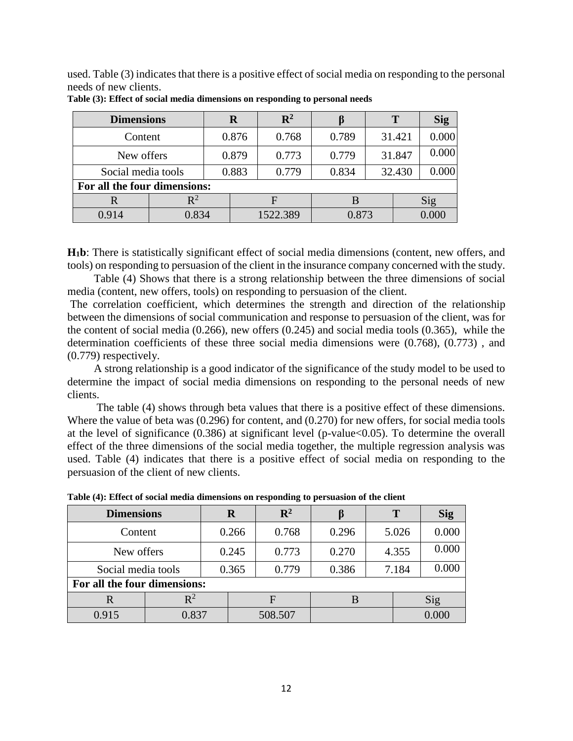used. Table (3) indicates that there is a positive effect of social media on responding to the personal needs of new clients.

| <b>Dimensions</b>            | R       |       |          | $\mathbf{R}^2$ |       |  | T      | <b>Sig</b> |
|------------------------------|---------|-------|----------|----------------|-------|--|--------|------------|
|                              | Content |       | 0.876    | 0.768          | 0.789 |  | 31.421 | 0.000      |
| New offers                   |         | 0.879 |          | 0.773          | 0.779 |  | 31.847 | 0.000      |
| Social media tools           |         | 0.883 |          | 0.779          | 0.834 |  | 32.430 | 0.000      |
| For all the four dimensions: |         |       |          |                |       |  |        |            |
| R                            |         |       |          |                |       |  |        | Sig        |
| 0.914                        | 0.834   |       | 1522.389 |                | 0.873 |  |        | 0.000      |

**Table (3): Effect of social media dimensions on responding to personal needs**

**H1b**: There is statistically significant effect of social media dimensions (content, new offers, and tools) on responding to persuasion of the client in the insurance company concerned with the study.

Table (4) Shows that there is a strong relationship between the three dimensions of social media (content, new offers, tools) on responding to persuasion of the client.

The correlation coefficient, which determines the strength and direction of the relationship between the dimensions of social communication and response to persuasion of the client, was for the content of social media (0.266), new offers (0.245) and social media tools (0.365), while the determination coefficients of these three social media dimensions were (0.768), (0.773) , and (0.779) respectively.

A strong relationship is a good indicator of the significance of the study model to be used to determine the impact of social media dimensions on responding to the personal needs of new clients.

The table (4) shows through beta values that there is a positive effect of these dimensions. Where the value of beta was (0.296) for content, and (0.270) for new offers, for social media tools at the level of significance (0.386) at significant level (p-value<0.05). To determine the overall effect of the three dimensions of the social media together, the multiple regression analysis was used. Table (4) indicates that there is a positive effect of social media on responding to the persuasion of the client of new clients.

| <b>Dimensions</b>            |                |       | $\bf R$ | $\mathbf{R}^2$ |       |       | T     | <b>Sig</b> |
|------------------------------|----------------|-------|---------|----------------|-------|-------|-------|------------|
| Content                      |                | 0.266 |         | 0.768          | 0.296 |       | 5.026 | 0.000      |
| New offers                   |                | 0.245 |         | 0.773          | 0.270 | 4.355 |       | 0.000      |
| Social media tools           |                | 0.365 | 0.779   | 0.386          |       | 7.184 | 0.000 |            |
| For all the four dimensions: |                |       |         |                |       |       |       |            |
| R                            | $\mathbf{R}^2$ |       |         | F              |       |       |       | Sig        |
| 0.915                        | 0.837          |       |         | 508.507        |       |       |       | 0.000      |

**Table (4): Effect of social media dimensions on responding to persuasion of the client**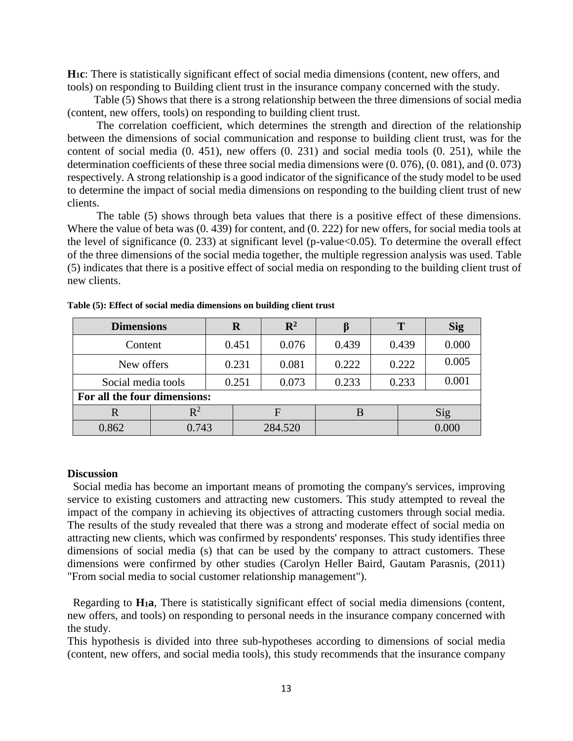**H1c**: There is statistically significant effect of social media dimensions (content, new offers, and tools) on responding to Building client trust in the insurance company concerned with the study.

Table (5) Shows that there is a strong relationship between the three dimensions of social media (content, new offers, tools) on responding to building client trust.

The correlation coefficient, which determines the strength and direction of the relationship between the dimensions of social communication and response to building client trust, was for the content of social media (0. 451), new offers (0. 231) and social media tools (0. 251), while the determination coefficients of these three social media dimensions were (0. 076), (0. 081), and (0. 073) respectively. A strong relationship is a good indicator of the significance of the study model to be used to determine the impact of social media dimensions on responding to the building client trust of new clients.

The table (5) shows through beta values that there is a positive effect of these dimensions. Where the value of beta was (0. 439) for content, and (0. 222) for new offers, for social media tools at the level of significance (0. 233) at significant level (p-value<0.05). To determine the overall effect of the three dimensions of the social media together, the multiple regression analysis was used. Table (5) indicates that there is a positive effect of social media on responding to the building client trust of new clients.

| <b>Dimensions</b>            |           |  | R     | $\mathbf{R}^2$          |       |  | T     | <b>Sig</b> |  |
|------------------------------|-----------|--|-------|-------------------------|-------|--|-------|------------|--|
| Content                      |           |  | 0.451 | 0.076                   | 0.439 |  | 0.439 | 0.000      |  |
| New offers                   |           |  | 0.231 | 0.081                   | 0.222 |  | 0.222 | 0.005      |  |
| Social media tools           |           |  | 0.251 | 0.073<br>0.233<br>0.233 |       |  | 0.001 |            |  |
| For all the four dimensions: |           |  |       |                         |       |  |       |            |  |
|                              | $\rm R^2$ |  | F     |                         |       |  |       | Sig        |  |
| 0.862                        | 0.743     |  |       | 284.520                 |       |  |       | 0.000      |  |

**Table (5): Effect of social media dimensions on building client trust**

#### **Discussion**

 Social media has become an important means of promoting the company's services, improving service to existing customers and attracting new customers. This study attempted to reveal the impact of the company in achieving its objectives of attracting customers through social media. The results of the study revealed that there was a strong and moderate effect of social media on attracting new clients, which was confirmed by respondents' responses. This study identifies three dimensions of social media (s) that can be used by the company to attract customers. These dimensions were confirmed by other studies (Carolyn Heller Baird, Gautam Parasnis, (2011) "From social media to social customer relationship management").

 Regarding to **H1a**, There is statistically significant effect of social media dimensions (content, new offers, and tools) on responding to personal needs in the insurance company concerned with the study.

This hypothesis is divided into three sub-hypotheses according to dimensions of social media (content, new offers, and social media tools), this study recommends that the insurance company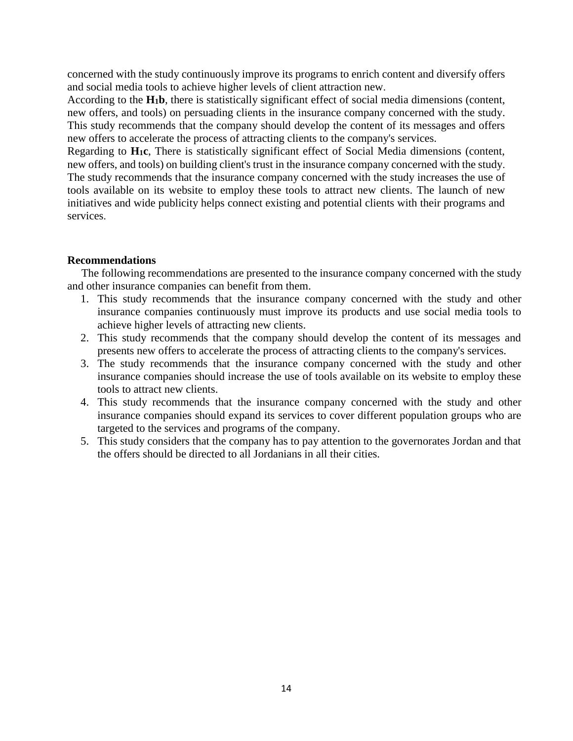concerned with the study continuously improve its programs to enrich content and diversify offers and social media tools to achieve higher levels of client attraction new.

According to the **H1b**, there is statistically significant effect of social media dimensions (content, new offers, and tools) on persuading clients in the insurance company concerned with the study. This study recommends that the company should develop the content of its messages and offers new offers to accelerate the process of attracting clients to the company's services.

Regarding to **H1c**, There is statistically significant effect of Social Media dimensions (content, new offers, and tools) on building client's trust in the insurance company concerned with the study. The study recommends that the insurance company concerned with the study increases the use of tools available on its website to employ these tools to attract new clients. The launch of new initiatives and wide publicity helps connect existing and potential clients with their programs and services.

### **Recommendations**

 The following recommendations are presented to the insurance company concerned with the study and other insurance companies can benefit from them.

- 1. This study recommends that the insurance company concerned with the study and other insurance companies continuously must improve its products and use social media tools to achieve higher levels of attracting new clients.
- 2. This study recommends that the company should develop the content of its messages and presents new offers to accelerate the process of attracting clients to the company's services.
- 3. The study recommends that the insurance company concerned with the study and other insurance companies should increase the use of tools available on its website to employ these tools to attract new clients.
- 4. This study recommends that the insurance company concerned with the study and other insurance companies should expand its services to cover different population groups who are targeted to the services and programs of the company.
- 5. This study considers that the company has to pay attention to the governorates Jordan and that the offers should be directed to all Jordanians in all their cities.